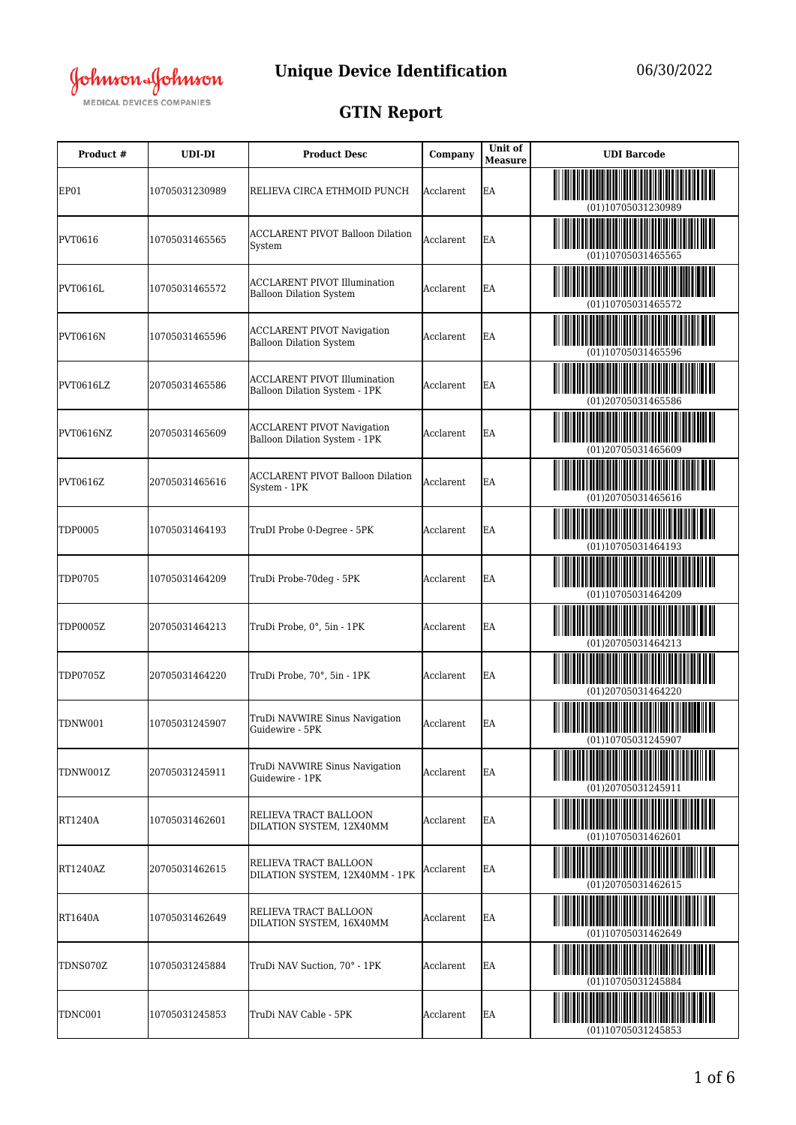

## **GTIN Report**

| Product #       | <b>UDI-DI</b>  | <b>Product Desc</b>                                                   | Company   | Unit of<br><b>Measure</b> | <b>UDI</b> Barcode |
|-----------------|----------------|-----------------------------------------------------------------------|-----------|---------------------------|--------------------|
| EP01            | 10705031230989 | RELIEVA CIRCA ETHMOID PUNCH                                           | Acclarent | EA                        | (01)10705031230989 |
| PVT0616         | 10705031465565 | <b>ACCLARENT PIVOT Balloon Dilation</b><br>System                     | Acclarent | EA                        | (01)10705031465565 |
| <b>PVT0616L</b> | 10705031465572 | <b>ACCLARENT PIVOT Illumination</b><br><b>Balloon Dilation System</b> | Acclarent | EA                        | (01)10705031465572 |
| <b>PVT0616N</b> | 10705031465596 | <b>ACCLARENT PIVOT Navigation</b><br><b>Balloon Dilation System</b>   | Acclarent | EA                        | (01)10705031465596 |
| PVT0616LZ       | 20705031465586 | <b>ACCLARENT PIVOT Illumination</b><br>Balloon Dilation System - 1PK  | Acclarent | EA                        | (01)20705031465586 |
| PVT0616NZ       | 20705031465609 | <b>ACCLARENT PIVOT Navigation</b><br>Balloon Dilation System - 1PK    | Acclarent | EA                        | (01)20705031465609 |
| PVT0616Z        | 20705031465616 | <b>ACCLARENT PIVOT Balloon Dilation</b><br>System - 1PK               | Acclarent | EA                        | (01)20705031465616 |
| <b>TDP0005</b>  | 10705031464193 | TruDI Probe 0-Degree - 5PK                                            | Acclarent | EA                        | (01)10705031464193 |
| TDP0705         | 10705031464209 | TruDi Probe-70deg - 5PK                                               | Acclarent | EA                        | (01)10705031464209 |
| TDP0005Z        | 20705031464213 | TruDi Probe, 0°, 5in - 1PK                                            | Acclarent | EA                        | (01)20705031464213 |
| TDP0705Z        | 20705031464220 | TruDi Probe, 70°, 5in - 1PK                                           | Acclarent | EA                        | (01)20705031464220 |
| TDNW001         | 10705031245907 | TruDi NAVWIRE Sinus Navigation<br>Guidewire - 5PK                     | Acclarent | EA                        | (01)10705031245907 |
| TDNW001Z        | 20705031245911 | TruDi NAVWIRE Sinus Navigation<br>Guidewire - 1PK                     | Acclarent | EA                        | (01)20705031245911 |
| <b>RT1240A</b>  | 10705031462601 | RELIEVA TRACT BALLOON<br>DILATION SYSTEM, 12X40MM                     | Acclarent | EA                        | (01)10705031462601 |
| RT1240AZ        | 20705031462615 | RELIEVA TRACT BALLOON<br>DILATION SYSTEM, 12X40MM - 1PK               | Acclarent | EA                        | (01)20705031462615 |
| <b>RT1640A</b>  | 10705031462649 | RELIEVA TRACT BALLOON<br>DILATION SYSTEM, 16X40MM                     | Acclarent | EA                        | (01)10705031462649 |
| TDNS070Z        | 10705031245884 | TruDi NAV Suction, 70° - 1PK                                          | Acclarent | EA                        | (01)10705031245884 |
| TDNC001         | 10705031245853 | TruDi NAV Cable - 5PK                                                 | Acclarent | EA                        | (01)10705031245853 |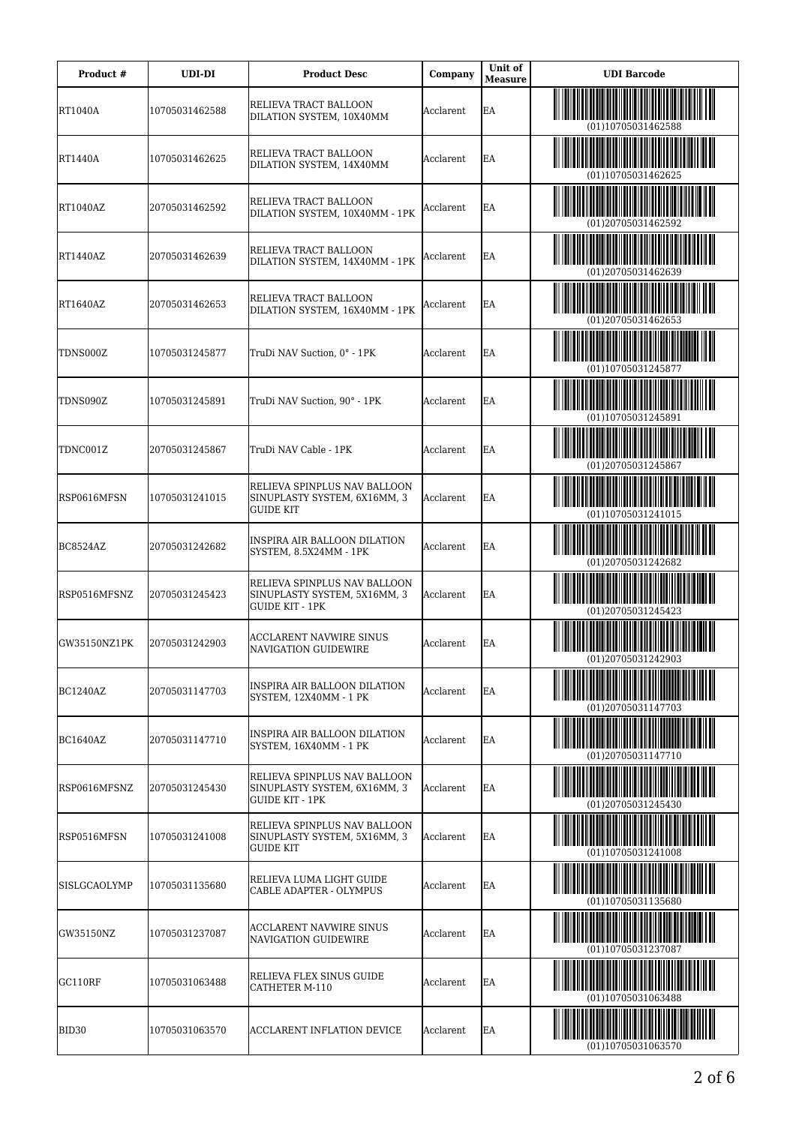| Product #       | <b>UDI-DI</b>  | <b>Product Desc</b>                                                             | Company   | Unit of<br><b>Measure</b> | <b>UDI</b> Barcode                                                                                                                          |
|-----------------|----------------|---------------------------------------------------------------------------------|-----------|---------------------------|---------------------------------------------------------------------------------------------------------------------------------------------|
| RT1040A         | 10705031462588 | RELIEVA TRACT BALLOON<br>DILATION SYSTEM, 10X40MM                               | Acclarent | EA                        | (01)10705031462588                                                                                                                          |
| RT1440A         | 10705031462625 | RELIEVA TRACT BALLOON<br>DILATION SYSTEM, 14X40MM                               | Acclarent | EA                        | (01)10705031462625                                                                                                                          |
| RT1040AZ        | 20705031462592 | RELIEVA TRACT BALLOON<br>DILATION SYSTEM, 10X40MM - 1PK                         | Acclarent | EA                        | (01)20705031462592                                                                                                                          |
| RT1440AZ        | 20705031462639 | RELIEVA TRACT BALLOON<br>DILATION SYSTEM, 14X40MM - 1PK                         | Acclarent | EA                        | (01)20705031462639                                                                                                                          |
| RT1640AZ        | 20705031462653 | RELIEVA TRACT BALLOON<br>DILATION SYSTEM, 16X40MM - 1PK                         | Acclarent | EA                        | (01)20705031462653                                                                                                                          |
| TDNS000Z        | 10705031245877 | TruDi NAV Suction, 0° - 1PK                                                     | Acclarent | EA                        | (01)10705031245877                                                                                                                          |
| TDNS090Z        | 10705031245891 | TruDi NAV Suction, 90° - 1PK                                                    | Acclarent | EA                        | <u> III Martin Martin Martin Martin Martin Martin Martin Martin Martin Martin Martin Martin Martin Martin Martin </u><br>(01)10705031245891 |
| TDNC001Z        | 20705031245867 | TruDi NAV Cable - 1PK                                                           | Acclarent | EA                        | (01)20705031245867                                                                                                                          |
| RSP0616MFSN     | 10705031241015 | RELIEVA SPINPLUS NAV BALLOON<br>SINUPLASTY SYSTEM, 6X16MM, 3<br>GUIDE KIT       | Acclarent | EA                        | (01)10705031241015                                                                                                                          |
| BC8524AZ        | 20705031242682 | INSPIRA AIR BALLOON DILATION<br>SYSTEM, 8.5X24MM - 1PK                          | Acclarent | EA                        | (01)20705031242682                                                                                                                          |
| RSP0516MFSNZ    | 20705031245423 | RELIEVA SPINPLUS NAV BALLOON<br>SINUPLASTY SYSTEM, 5X16MM, 3<br>GUIDE KIT - 1PK | Acclarent | EA                        | (01)20705031245423                                                                                                                          |
| GW35150NZ1PK    | 20705031242903 | ACCLARENT NAVWIRE SINUS<br>NAVIGATION GUIDEWIRE                                 | Acclarent | EA                        | (01)20705031242903                                                                                                                          |
| <b>BC1240AZ</b> | 20705031147703 | INSPIRA AIR BALLOON DILATION<br>SYSTEM, 12X40MM - 1 PK                          | Acclarent | lea                       | (01)20705031147703                                                                                                                          |
| <b>BC1640AZ</b> | 20705031147710 | INSPIRA AIR BALLOON DILATION<br>SYSTEM, 16X40MM - 1 PK                          | Acclarent | lea                       | (01)20705031147710                                                                                                                          |
| RSP0616MFSNZ    | 20705031245430 | RELIEVA SPINPLUS NAV BALLOON<br>SINUPLASTY SYSTEM, 6X16MM, 3<br>GUIDE KIT - 1PK | Acclarent | EA                        | (01)20705031245430                                                                                                                          |
| RSP0516MFSN     | 10705031241008 | RELIEVA SPINPLUS NAV BALLOON<br>SINUPLASTY SYSTEM, 5X16MM, 3<br>GUIDE KIT       | Acclarent | EA                        | (01)10705031241008                                                                                                                          |
| SISLGCAOLYMP    | 10705031135680 | RELIEVA LUMA LIGHT GUIDE<br>CABLE ADAPTER - OLYMPUS                             | Acclarent | EA                        | (01)10705031135680                                                                                                                          |
| GW35150NZ       | 10705031237087 | ACCLARENT NAVWIRE SINUS<br>NAVIGATION GUIDEWIRE                                 | Acclarent | EA                        | (01)10705031237087                                                                                                                          |
| GC110RF         | 10705031063488 | RELIEVA FLEX SINUS GUIDE<br>CATHETER M-110                                      | Acclarent | EA                        | (01)10705031063488                                                                                                                          |
| BID30           | 10705031063570 | <b>ACCLARENT INFLATION DEVICE</b>                                               | Acclarent | EA                        | (01)10705031063570                                                                                                                          |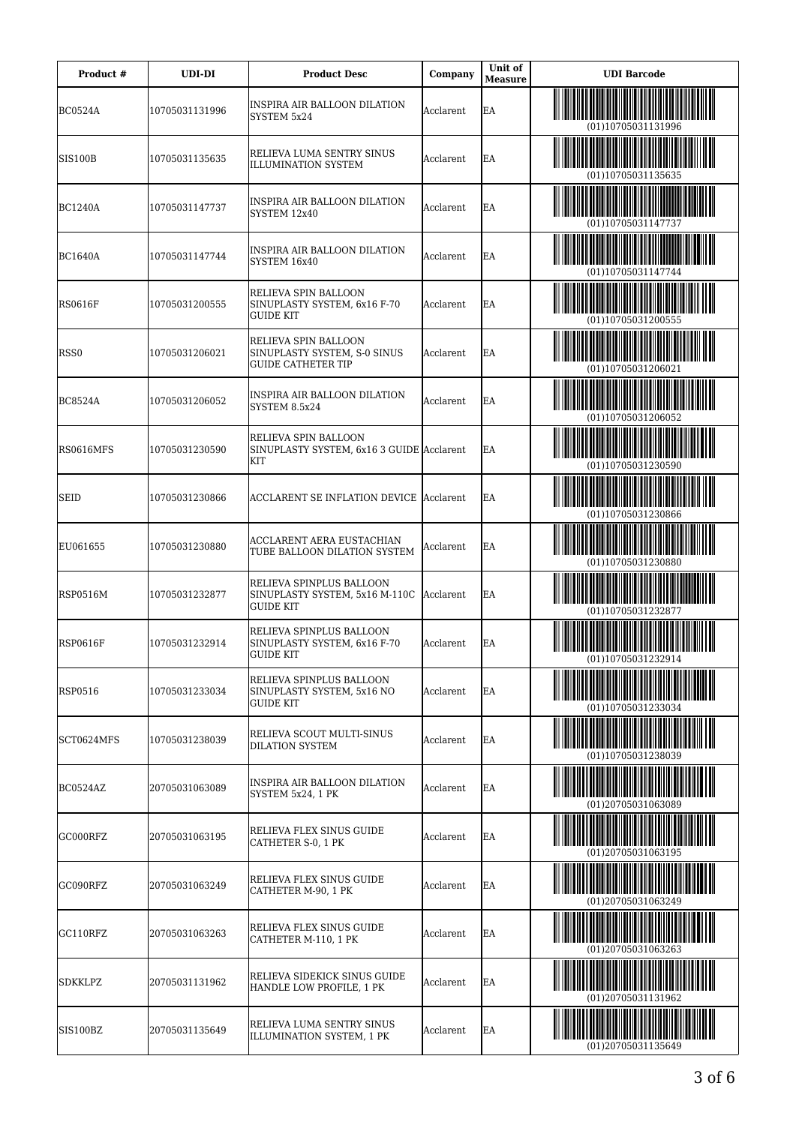| Product #       | UDI-DI         | <b>Product Desc</b>                                                                      | Company   | Unit of<br><b>Measure</b> | <b>UDI</b> Barcode                                 |
|-----------------|----------------|------------------------------------------------------------------------------------------|-----------|---------------------------|----------------------------------------------------|
| <b>BC0524A</b>  | 10705031131996 | INSPIRA AIR BALLOON DILATION<br>SYSTEM 5x24                                              | Acclarent | EA                        | (01)10705031131996                                 |
| <b>SIS100B</b>  | 10705031135635 | RELIEVA LUMA SENTRY SINUS<br><b>ILLUMINATION SYSTEM</b>                                  | Acclarent | EA                        | (01)10705031135635                                 |
| <b>BC1240A</b>  | 10705031147737 | INSPIRA AIR BALLOON DILATION<br>SYSTEM 12x40                                             | Acclarent | EA                        | (01)10705031147737                                 |
| BC1640A         | 10705031147744 | INSPIRA AIR BALLOON DILATION<br>SYSTEM 16x40                                             | Acclarent | EA                        | (01)10705031147744                                 |
| RS0616F         | 10705031200555 | RELIEVA SPIN BALLOON<br>SINUPLASTY SYSTEM, 6x16 F-70<br>GUIDE KIT                        | Acclarent | EA                        | (01)10705031200555                                 |
| RSS0            | 10705031206021 | RELIEVA SPIN BALLOON<br>SINUPLASTY SYSTEM, S-0 SINUS<br><b>GUIDE CATHETER TIP</b>        | Acclarent | EA                        | (01)10705031206021                                 |
| <b>BC8524A</b>  | 10705031206052 | INSPIRA AIR BALLOON DILATION<br>SYSTEM 8.5x24                                            | Acclarent | EA                        | (01)10705031206052                                 |
| RS0616MFS       | 10705031230590 | RELIEVA SPIN BALLOON<br>SINUPLASTY SYSTEM, 6x16 3 GUIDE Acclarent<br>KIT                 |           | EΑ                        | (01)10705031230590                                 |
| <b>SEID</b>     | 10705031230866 | <b>ACCLARENT SE INFLATION DEVICE Acclarent</b>                                           |           | EΑ                        | (01)10705031230866                                 |
| EU061655        | 10705031230880 | ACCLARENT AERA EUSTACHIAN<br>TUBE BALLOON DILATION SYSTEM                                | Acclarent | EA                        | (01)10705031230880                                 |
| RSP0516M        | 10705031232877 | RELIEVA SPINPLUS BALLOON<br>SINUPLASTY SYSTEM, 5x16 M-110C Acclarent<br><b>GUIDE KIT</b> |           | EA                        | (01)10705031232877                                 |
| RSP0616F        | 10705031232914 | RELIEVA SPINPLUS BALLOON<br>SINUPLASTY SYSTEM, 6x16 F-70<br>GUIDE KIT                    | Acclarent | EΑ                        | (01)10705031232914                                 |
| <b>RSP0516</b>  | 10705031233034 | RELIEVA SPINPLUS BALLOON<br>SINUPLASTY SYSTEM, 5x16 NO<br>GUIDE KIT                      | Acclarent | EA                        | (01)10705031233034                                 |
| SCT0624MFS      | 10705031238039 | RELIEVA SCOUT MULTI-SINUS<br><b>DILATION SYSTEM</b>                                      | Acclarent | EA                        | <b>THEFT SERVICE SERVICE</b><br>(01)10705031238039 |
| BC0524AZ        | 20705031063089 | INSPIRA AIR BALLOON DILATION<br>SYSTEM 5x24, 1 PK                                        | Acclarent | EA                        | (01)20705031063089                                 |
| GC000RFZ        | 20705031063195 | RELIEVA FLEX SINUS GUIDE<br>CATHETER S-0, 1 PK                                           | Acclarent | EA                        | (01)20705031063195                                 |
| GC090RFZ        | 20705031063249 | RELIEVA FLEX SINUS GUIDE<br>CATHETER M-90, 1 PK                                          | Acclarent | EA                        | (01)20705031063249                                 |
| GC110RFZ        | 20705031063263 | RELIEVA FLEX SINUS GUIDE<br>CATHETER M-110, 1 PK                                         | Acclarent | EA                        | <b>              </b>   <br>(01)20705031063263     |
| SDKKLPZ         | 20705031131962 | RELIEVA SIDEKICK SINUS GUIDE<br>HANDLE LOW PROFILE, 1 PK                                 | Acclarent | EA                        | (01)20705031131962                                 |
| <b>SIS100BZ</b> | 20705031135649 | RELIEVA LUMA SENTRY SINUS<br>ILLUMINATION SYSTEM, 1 PK                                   | Acclarent | EA                        | (01)20705031135649                                 |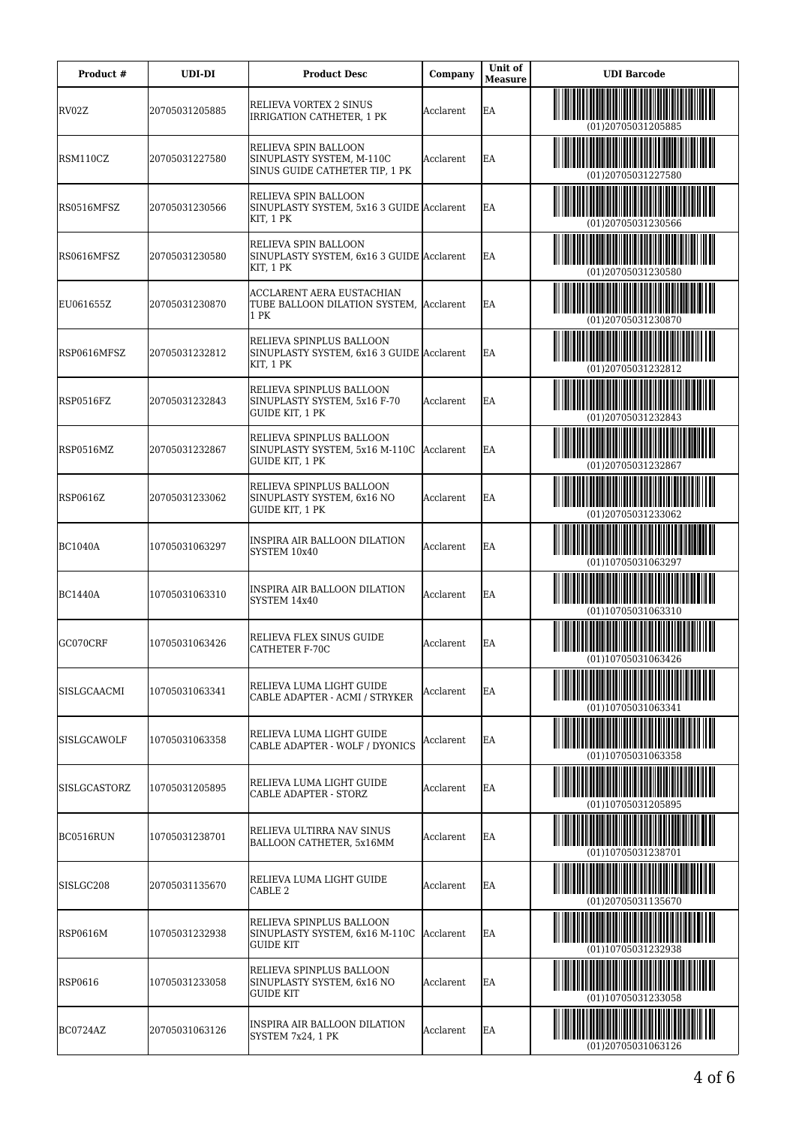| Product #          | <b>UDI-DI</b>  | <b>Product Desc</b>                                                                  | Company          | Unit of<br><b>Measure</b> | <b>UDI</b> Barcode |
|--------------------|----------------|--------------------------------------------------------------------------------------|------------------|---------------------------|--------------------|
| lRV02Z             | 20705031205885 | RELIEVA VORTEX 2 SINUS<br>IRRIGATION CATHETER, 1 PK                                  | Acclarent        | EA                        | (01)20705031205885 |
| RSM110CZ           | 20705031227580 | RELIEVA SPIN BALLOON<br>SINUPLASTY SYSTEM, M-110C<br>SINUS GUIDE CATHETER TIP, 1 PK  | Acclarent        | EA                        | (01)20705031227580 |
| RS0516MFSZ         | 20705031230566 | RELIEVA SPIN BALLOON<br>SINUPLASTY SYSTEM, 5x16 3 GUIDE Acclarent<br>KIT, 1 PK       |                  | EA                        | (01)20705031230566 |
| RS0616MFSZ         | 20705031230580 | RELIEVA SPIN BALLOON<br>SINUPLASTY SYSTEM, 6x16 3 GUIDE Acclarent<br>KIT, 1 PK       |                  | EA                        | (01)20705031230580 |
| EU061655Z          | 20705031230870 | ACCLARENT AERA EUSTACHIAN<br>TUBE BALLOON DILATION SYSTEM, Acclarent<br>1 PK         |                  | EΑ                        | (01)20705031230870 |
| RSP0616MFSZ        | 20705031232812 | RELIEVA SPINPLUS BALLOON<br>SINUPLASTY SYSTEM, 6x16 3 GUIDE Acclarent<br>KIT, 1 PK   |                  | EA                        | (01)20705031232812 |
| IRSP0516FZ         | 20705031232843 | RELIEVA SPINPLUS BALLOON<br>SINUPLASTY SYSTEM, 5x16 F-70<br>GUIDE KIT, 1 PK          | Acclarent        | EA                        | (01)20705031232843 |
| RSP0516MZ          | 20705031232867 | RELIEVA SPINPLUS BALLOON<br>SINUPLASTY SYSTEM, 5x16 M-110C<br><b>GUIDE KIT, 1 PK</b> | <b>Acclarent</b> | EA                        | (01)20705031232867 |
| RSP0616Z           | 20705031233062 | RELIEVA SPINPLUS BALLOON<br>SINUPLASTY SYSTEM, 6x16 NO<br><b>GUIDE KIT, 1 PK</b>     | Acclarent        | EA                        | (01)20705031233062 |
| BC1040A            | 10705031063297 | INSPIRA AIR BALLOON DILATION<br>SYSTEM 10x40                                         | Acclarent        | EA                        | (01)10705031063297 |
| BC1440A            | 10705031063310 | INSPIRA AIR BALLOON DILATION<br>SYSTEM 14x40                                         | Acclarent        | EΑ                        | (01)10705031063310 |
| GC070CRF           | 10705031063426 | RELIEVA FLEX SINUS GUIDE<br><b>CATHETER F-70C</b>                                    | Acclarent        | EA                        | (01)10705031063426 |
| SISLGCAACMI        | 10705031063341 | RELIEVA LUMA LIGHT GUIDE<br>CABLE ADAPTER - ACMI / STRYKER                           | Acclarent        | EΑ                        | (01)10705031063341 |
| <b>SISLGCAWOLF</b> | 10705031063358 | RELIEVA LUMA LIGHT GUIDE<br>CABLE ADAPTER - WOLF / DYONICS                           | Acclarent        | EΑ                        | (01)10705031063358 |
| SISLGCASTORZ       | 10705031205895 | RELIEVA LUMA LIGHT GUIDE<br>CABLE ADAPTER - STORZ                                    | Acclarent        | EΑ                        | (01)10705031205895 |
| BC0516RUN          | 10705031238701 | RELIEVA ULTIRRA NAV SINUS<br>BALLOON CATHETER, 5x16MM                                | Acclarent        | EΑ                        | (01)10705031238701 |
| SISLGC208          | 20705031135670 | RELIEVA LUMA LIGHT GUIDE<br>CABLE 2                                                  | Acclarent        | EΑ                        | (01)20705031135670 |
| <b>RSP0616M</b>    | 10705031232938 | RELIEVA SPINPLUS BALLOON<br>SINUPLASTY SYSTEM, 6x16 M-110C<br><b>GUIDE KIT</b>       | Acclarent        | EΑ                        | (01)10705031232938 |
| <b>RSP0616</b>     | 10705031233058 | RELIEVA SPINPLUS BALLOON<br>SINUPLASTY SYSTEM, 6x16 NO<br><b>GUIDE KIT</b>           | Acclarent        | EA                        | (01)10705031233058 |
| BC0724AZ           | 20705031063126 | INSPIRA AIR BALLOON DILATION<br>SYSTEM 7x24, 1 PK                                    | Acclarent        | EA                        | (01)20705031063126 |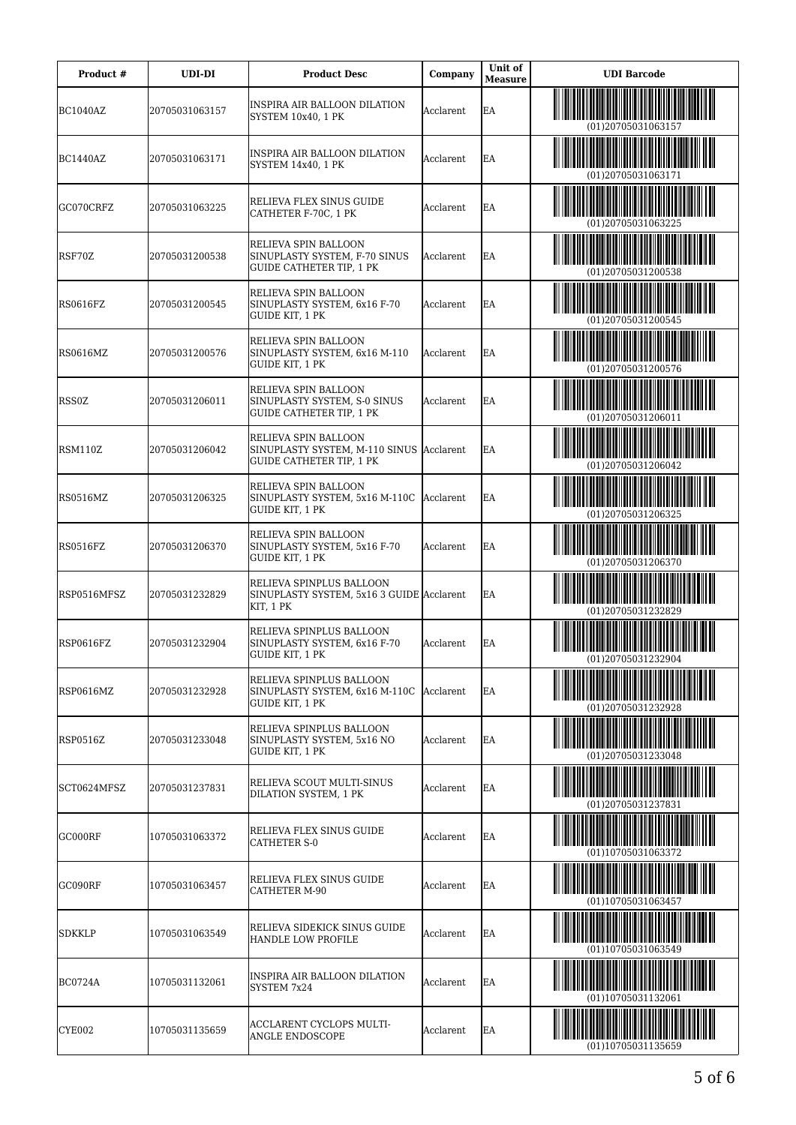| Product #       | <b>UDI-DI</b>  | <b>Product Desc</b>                                                                          | Company   | Unit of<br><b>Measure</b> | <b>UDI</b> Barcode |
|-----------------|----------------|----------------------------------------------------------------------------------------------|-----------|---------------------------|--------------------|
| BC1040AZ        | 20705031063157 | INSPIRA AIR BALLOON DILATION<br>SYSTEM 10x40, 1 PK                                           | Acclarent | EA                        | (01)20705031063157 |
| BC1440AZ        | 20705031063171 | INSPIRA AIR BALLOON DILATION<br>SYSTEM 14x40, 1 PK                                           | Acclarent | EA                        | (01)20705031063171 |
| GC070CRFZ       | 20705031063225 | RELIEVA FLEX SINUS GUIDE<br>CATHETER F-70C, 1 PK                                             | Acclarent | EA                        | (01)20705031063225 |
| RSF70Z          | 20705031200538 | RELIEVA SPIN BALLOON<br>SINUPLASTY SYSTEM, F-70 SINUS<br>GUIDE CATHETER TIP, 1 PK            | Acclarent | EA                        | (01)20705031200538 |
| RS0616FZ        | 20705031200545 | RELIEVA SPIN BALLOON<br>SINUPLASTY SYSTEM, 6x16 F-70<br>GUIDE KIT, 1 PK                      | Acclarent | EA                        | (01)20705031200545 |
| RS0616MZ        | 20705031200576 | RELIEVA SPIN BALLOON<br>SINUPLASTY SYSTEM, 6x16 M-110<br>GUIDE KIT, 1 PK                     | Acclarent | EA                        | (01)20705031200576 |
| <b>RSS0Z</b>    | 20705031206011 | RELIEVA SPIN BALLOON<br>SINUPLASTY SYSTEM, S-0 SINUS<br>GUIDE CATHETER TIP, 1 PK             | Acclarent | EA                        | (01)20705031206011 |
| RSM110Z         | 20705031206042 | RELIEVA SPIN BALLOON<br>SINUPLASTY SYSTEM, M-110 SINUS Acclarent<br>GUIDE CATHETER TIP, 1 PK |           | EΑ                        | (01)20705031206042 |
| RS0516MZ        | 20705031206325 | RELIEVA SPIN BALLOON<br>SINUPLASTY SYSTEM, 5x16 M-110C   Acclarent<br>GUIDE KIT, 1 PK        |           | EΑ                        | (01)20705031206325 |
| RS0516FZ        | 20705031206370 | RELIEVA SPIN BALLOON<br>SINUPLASTY SYSTEM, 5x16 F-70<br>GUIDE KIT, 1 PK                      | Acclarent | EA                        | (01)20705031206370 |
| RSP0516MFSZ     | 20705031232829 | RELIEVA SPINPLUS BALLOON<br>SINUPLASTY SYSTEM, 5x16 3 GUIDE Acclarent<br>KIT, 1 PK           |           | EA                        | (01)20705031232829 |
| RSP0616FZ       | 20705031232904 | RELIEVA SPINPLUS BALLOON<br>SINUPLASTY SYSTEM, 6x16 F-70<br>GUIDE KIT, 1 PK                  | Acclarent | EΑ                        | (01)20705031232904 |
| RSP0616MZ       | 20705031232928 | RELIEVA SPINPLUS BALLOON<br>SINUPLASTY SYSTEM, 6x16 M-110C<br>GUIDE KIT, 1 PK                | Acclarent | EA                        | (01)20705031232928 |
| <b>RSP0516Z</b> | 20705031233048 | RELIEVA SPINPLUS BALLOON<br>SINUPLASTY SYSTEM, 5x16 NO<br>GUIDE KIT, 1 PK                    | Acclarent | EA                        | (01)20705031233048 |
| SCT0624MFSZ     | 20705031237831 | RELIEVA SCOUT MULTI-SINUS<br>DILATION SYSTEM, 1 PK                                           | Acclarent | EA                        | (01)20705031237831 |
| GC000RF         | 10705031063372 | RELIEVA FLEX SINUS GUIDE<br><b>CATHETER S-0</b>                                              | Acclarent | EA                        | (01)10705031063372 |
| GC090RF         | 10705031063457 | RELIEVA FLEX SINUS GUIDE<br><b>CATHETER M-90</b>                                             | Acclarent | EA                        | (01)10705031063457 |
| SDKKLP          | 10705031063549 | RELIEVA SIDEKICK SINUS GUIDE<br>HANDLE LOW PROFILE                                           | Acclarent | EA                        | (01)10705031063549 |
| <b>BC0724A</b>  | 10705031132061 | INSPIRA AIR BALLOON DILATION<br>SYSTEM 7x24                                                  | Acclarent | EA                        | (01)10705031132061 |
| <b>CYE002</b>   | 10705031135659 | ACCLARENT CYCLOPS MULTI-<br>ANGLE ENDOSCOPE                                                  | Acclarent | EA                        | (01)10705031135659 |